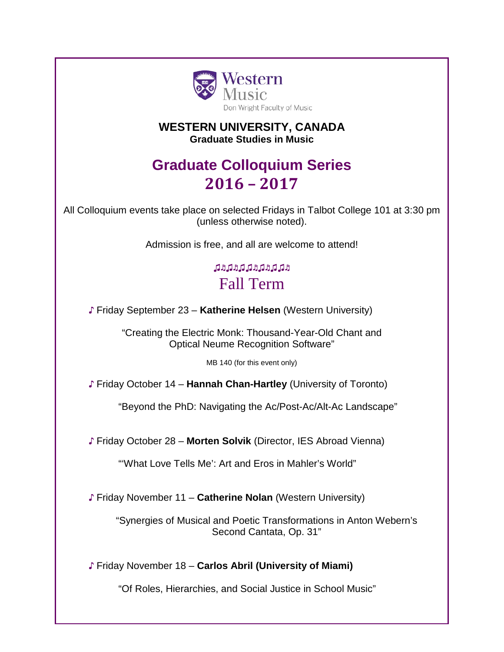

### **WESTERN UNIVERSITY, CANADA Graduate Studies in Music**

# **Graduate Colloquium Series 2016 – 2017**

All Colloquium events take place on selected Fridays in Talbot College 101 at 3:30 pm (unless otherwise noted).

Admission is free, and all are welcome to attend!

## ♫♬♫♬♫♫♬♫♬♫♫♬ Fall Term

♪ Friday September 23 – **Katherine Helsen** (Western University)

"Creating the Electric Monk: Thousand-Year-Old Chant and Optical Neume Recognition Software"

MB 140 (for this event only)

♪ Friday October 14 – **Hannah Chan-Hartley** (University of Toronto)

"Beyond the PhD: Navigating the Ac/Post-Ac/Alt-Ac Landscape"

♪ Friday October 28 – **Morten Solvik** (Director, IES Abroad Vienna)

"'What Love Tells Me': Art and Eros in Mahler's World"

♪ Friday November 11 – **Catherine Nolan** (Western University)

"Synergies of Musical and Poetic Transformations in Anton Webern's Second Cantata, Op. 31"

♪ Friday November 18 – **Carlos Abril (University of Miami)**

"Of Roles, Hierarchies, and Social Justice in School Music"